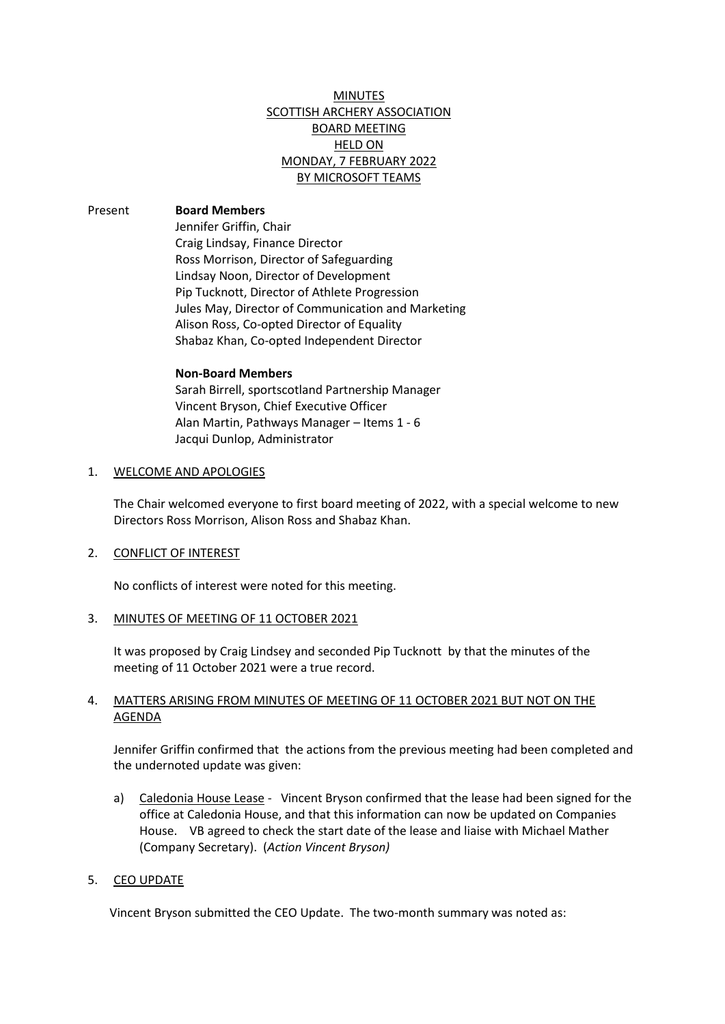# MINUTES SCOTTISH ARCHERY ASSOCIATION BOARD MEETING HELD ON MONDAY, 7 FEBRUARY 2022 BY MICROSOFT TEAMS

Present **Board Members** Jennifer Griffin, Chair Craig Lindsay, Finance Director Ross Morrison, Director of Safeguarding Lindsay Noon, Director of Development Pip Tucknott, Director of Athlete Progression Jules May, Director of Communication and Marketing Alison Ross, Co-opted Director of Equality Shabaz Khan, Co-opted Independent Director

#### **Non-Board Members**

Sarah Birrell, sportscotland Partnership Manager Vincent Bryson, Chief Executive Officer Alan Martin, Pathways Manager – Items 1 - 6 Jacqui Dunlop, Administrator

#### 1. WELCOME AND APOLOGIES

The Chair welcomed everyone to first board meeting of 2022, with a special welcome to new Directors Ross Morrison, Alison Ross and Shabaz Khan.

## 2. CONFLICT OF INTEREST

No conflicts of interest were noted for this meeting.

#### 3. MINUTES OF MEETING OF 11 OCTOBER 2021

It was proposed by Craig Lindsey and seconded Pip Tucknott by that the minutes of the meeting of 11 October 2021 were a true record.

## 4. MATTERS ARISING FROM MINUTES OF MEETING OF 11 OCTOBER 2021 BUT NOT ON THE AGENDA

Jennifer Griffin confirmed that the actions from the previous meeting had been completed and the undernoted update was given:

a) Caledonia House Lease - Vincent Bryson confirmed that the lease had been signed for the office at Caledonia House, and that this information can now be updated on Companies House. VB agreed to check the start date of the lease and liaise with Michael Mather (Company Secretary). (*Action Vincent Bryson)*

## 5. CEO UPDATE

Vincent Bryson submitted the CEO Update. The two-month summary was noted as: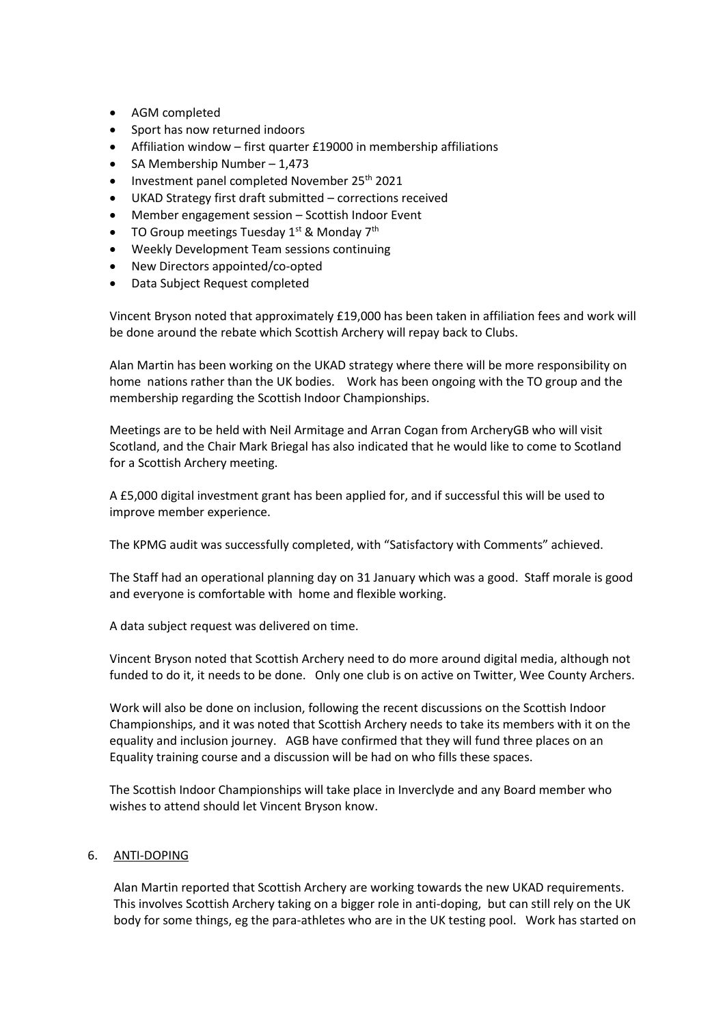- AGM completed
- Sport has now returned indoors
- Affiliation window first quarter £19000 in membership affiliations
- SA Membership Number 1,473
- Investment panel completed November 25<sup>th</sup> 2021
- UKAD Strategy first draft submitted corrections received
- Member engagement session Scottish Indoor Event
- TO Group meetings Tuesday 1<sup>st</sup> & Monday 7<sup>th</sup>
- Weekly Development Team sessions continuing
- New Directors appointed/co-opted
- Data Subject Request completed

Vincent Bryson noted that approximately £19,000 has been taken in affiliation fees and work will be done around the rebate which Scottish Archery will repay back to Clubs.

Alan Martin has been working on the UKAD strategy where there will be more responsibility on home nations rather than the UK bodies. Work has been ongoing with the TO group and the membership regarding the Scottish Indoor Championships.

Meetings are to be held with Neil Armitage and Arran Cogan from ArcheryGB who will visit Scotland, and the Chair Mark Briegal has also indicated that he would like to come to Scotland for a Scottish Archery meeting.

A £5,000 digital investment grant has been applied for, and if successful this will be used to improve member experience.

The KPMG audit was successfully completed, with "Satisfactory with Comments" achieved.

The Staff had an operational planning day on 31 January which was a good. Staff morale is good and everyone is comfortable with home and flexible working.

A data subject request was delivered on time.

Vincent Bryson noted that Scottish Archery need to do more around digital media, although not funded to do it, it needs to be done. Only one club is on active on Twitter, Wee County Archers.

Work will also be done on inclusion, following the recent discussions on the Scottish Indoor Championships, and it was noted that Scottish Archery needs to take its members with it on the equality and inclusion journey. AGB have confirmed that they will fund three places on an Equality training course and a discussion will be had on who fills these spaces.

The Scottish Indoor Championships will take place in Inverclyde and any Board member who wishes to attend should let Vincent Bryson know.

## 6. ANTI-DOPING

Alan Martin reported that Scottish Archery are working towards the new UKAD requirements. This involves Scottish Archery taking on a bigger role in anti-doping, but can still rely on the UK body for some things, eg the para-athletes who are in the UK testing pool. Work has started on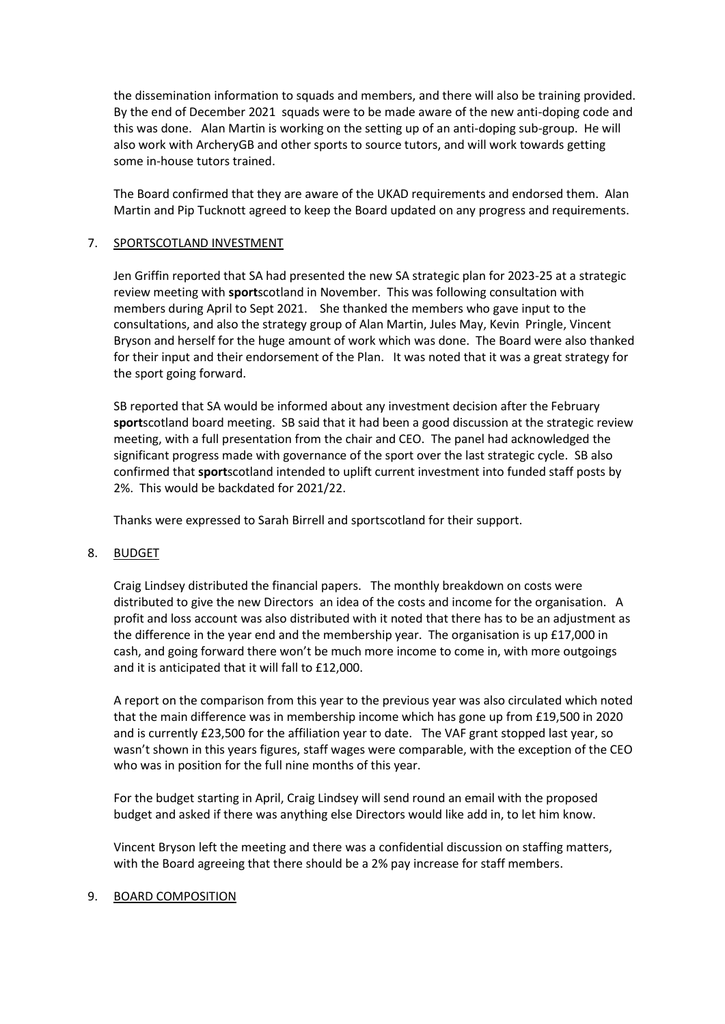the dissemination information to squads and members, and there will also be training provided. By the end of December 2021 squads were to be made aware of the new anti-doping code and this was done. Alan Martin is working on the setting up of an anti-doping sub-group. He will also work with ArcheryGB and other sports to source tutors, and will work towards getting some in-house tutors trained.

The Board confirmed that they are aware of the UKAD requirements and endorsed them. Alan Martin and Pip Tucknott agreed to keep the Board updated on any progress and requirements.

## 7. SPORTSCOTLAND INVESTMENT

Jen Griffin reported that SA had presented the new SA strategic plan for 2023-25 at a strategic review meeting with **sport**scotland in November. This was following consultation with members during April to Sept 2021. She thanked the members who gave input to the consultations, and also the strategy group of Alan Martin, Jules May, Kevin Pringle, Vincent Bryson and herself for the huge amount of work which was done. The Board were also thanked for their input and their endorsement of the Plan. It was noted that it was a great strategy for the sport going forward.

SB reported that SA would be informed about any investment decision after the February **sport**scotland board meeting. SB said that it had been a good discussion at the strategic review meeting, with a full presentation from the chair and CEO. The panel had acknowledged the significant progress made with governance of the sport over the last strategic cycle. SB also confirmed that **sport**scotland intended to uplift current investment into funded staff posts by 2%. This would be backdated for 2021/22.

Thanks were expressed to Sarah Birrell and sportscotland for their support.

## 8. BUDGET

Craig Lindsey distributed the financial papers. The monthly breakdown on costs were distributed to give the new Directors an idea of the costs and income for the organisation. A profit and loss account was also distributed with it noted that there has to be an adjustment as the difference in the year end and the membership year. The organisation is up £17,000 in cash, and going forward there won't be much more income to come in, with more outgoings and it is anticipated that it will fall to £12,000.

A report on the comparison from this year to the previous year was also circulated which noted that the main difference was in membership income which has gone up from £19,500 in 2020 and is currently £23,500 for the affiliation year to date. The VAF grant stopped last year, so wasn't shown in this years figures, staff wages were comparable, with the exception of the CEO who was in position for the full nine months of this year.

For the budget starting in April, Craig Lindsey will send round an email with the proposed budget and asked if there was anything else Directors would like add in, to let him know.

Vincent Bryson left the meeting and there was a confidential discussion on staffing matters, with the Board agreeing that there should be a 2% pay increase for staff members.

## 9. BOARD COMPOSITION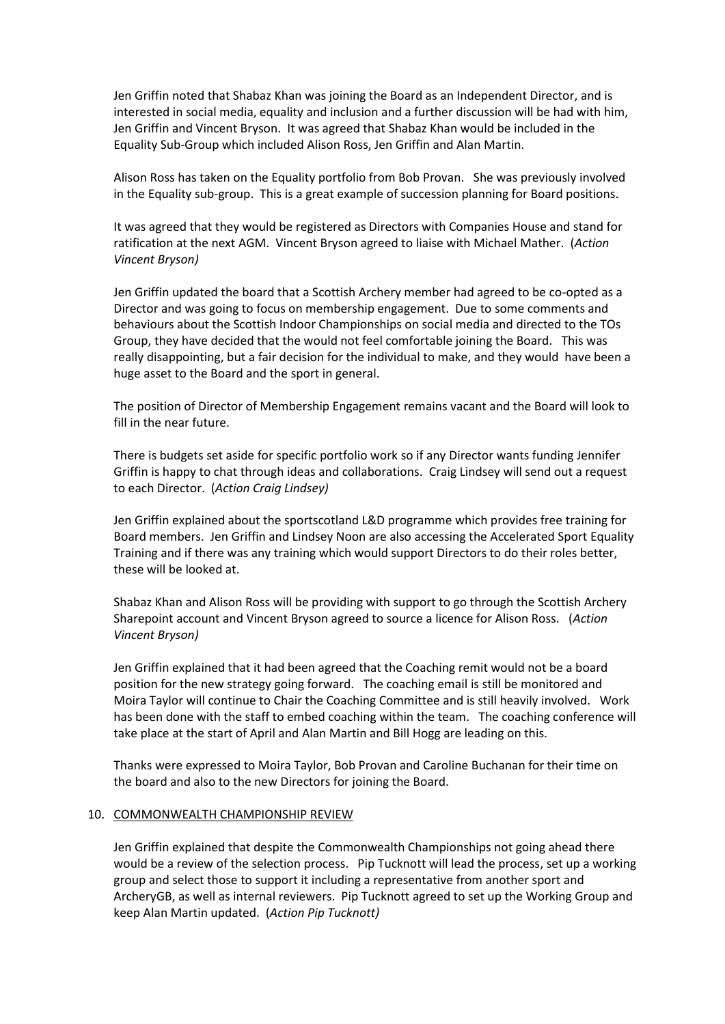Jen Griffin noted that Shabaz Khan was joining the Board as an Independent Director, and is interested in social media, equality and inclusion and a further discussion will be had with him, Jen Griffin and Vincent Bryson. It was agreed that Shabaz Khan would be included in the Equality Sub-Group which included Alison Ross, Jen Griffin and Alan Martin.

Alison Ross has taken on the Equality portfolio from Bob Provan. She was previously involved in the Equality sub-group. This is a great example of succession planning for Board positions.

It was agreed that they would be registered as Directors with Companies House and stand for ratification at the next AGM. Vincent Bryson agreed to liaise with Michael Mather. (*Action Vincent Bryson)*

Jen Griffin updated the board that a Scottish Archery member had agreed to be co-opted as a Director and was going to focus on membership engagement. Due to some comments and behaviours about the Scottish Indoor Championships on social media and directed to the TOs Group, they have decided that the would not feel comfortable joining the Board. This was really disappointing, but a fair decision for the individual to make, and they would have been a huge asset to the Board and the sport in general.

The position of Director of Membership Engagement remains vacant and the Board will look to fill in the near future.

There is budgets set aside for specific portfolio work so if any Director wants funding Jennifer Griffin is happy to chat through ideas and collaborations. Craig Lindsey will send out a request to each Director. (*Action Craig Lindsey)*

Jen Griffin explained about the sportscotland L&D programme which provides free training for Board members. Jen Griffin and Lindsey Noon are also accessing the Accelerated Sport Equality Training and if there was any training which would support Directors to do their roles better, these will be looked at.

Shabaz Khan and Alison Ross will be providing with support to go through the Scottish Archery Sharepoint account and Vincent Bryson agreed to source a licence for Alison Ross. (*Action Vincent Bryson)*

Jen Griffin explained that it had been agreed that the Coaching remit would not be a board position for the new strategy going forward. The coaching email is still be monitored and Moira Taylor will continue to Chair the Coaching Committee and is still heavily involved. Work has been done with the staff to embed coaching within the team. The coaching conference will take place at the start of April and Alan Martin and Bill Hogg are leading on this.

Thanks were expressed to Moira Taylor, Bob Provan and Caroline Buchanan for their time on the board and also to the new Directors for joining the Board.

#### 10. COMMONWEALTH CHAMPIONSHIP REVIEW

Jen Griffin explained that despite the Commonwealth Championships not going ahead there would be a review of the selection process. Pip Tucknott will lead the process, set up a working group and select those to support it including a representative from another sport and ArcheryGB, as well as internal reviewers. Pip Tucknott agreed to set up the Working Group and keep Alan Martin updated. (*Action Pip Tucknott)*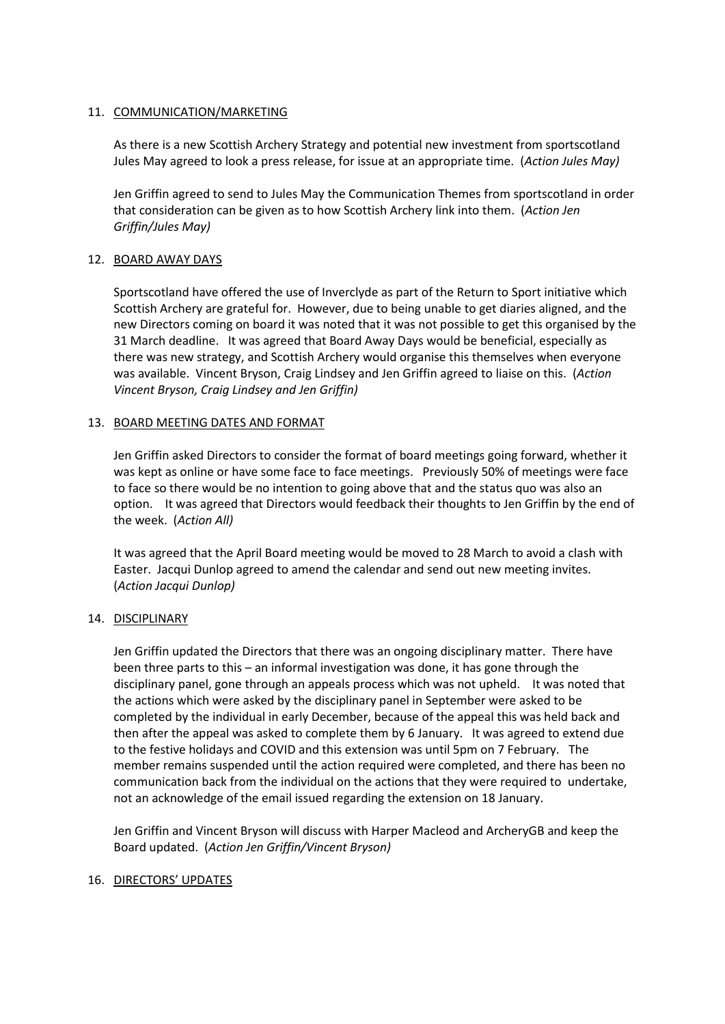## 11. COMMUNICATION/MARKETING

As there is a new Scottish Archery Strategy and potential new investment from sportscotland Jules May agreed to look a press release, for issue at an appropriate time. (*Action Jules May)*

Jen Griffin agreed to send to Jules May the Communication Themes from sportscotland in order that consideration can be given as to how Scottish Archery link into them. (*Action Jen Griffin/Jules May)*

## 12. BOARD AWAY DAYS

Sportscotland have offered the use of Inverclyde as part of the Return to Sport initiative which Scottish Archery are grateful for. However, due to being unable to get diaries aligned, and the new Directors coming on board it was noted that it was not possible to get this organised by the 31 March deadline. It was agreed that Board Away Days would be beneficial, especially as there was new strategy, and Scottish Archery would organise this themselves when everyone was available. Vincent Bryson, Craig Lindsey and Jen Griffin agreed to liaise on this. (*Action Vincent Bryson, Craig Lindsey and Jen Griffin)*

## 13. BOARD MEETING DATES AND FORMAT

Jen Griffin asked Directors to consider the format of board meetings going forward, whether it was kept as online or have some face to face meetings. Previously 50% of meetings were face to face so there would be no intention to going above that and the status quo was also an option. It was agreed that Directors would feedback their thoughts to Jen Griffin by the end of the week. (*Action All)*

It was agreed that the April Board meeting would be moved to 28 March to avoid a clash with Easter. Jacqui Dunlop agreed to amend the calendar and send out new meeting invites. (*Action Jacqui Dunlop)*

## 14. DISCIPLINARY

Jen Griffin updated the Directors that there was an ongoing disciplinary matter. There have been three parts to this – an informal investigation was done, it has gone through the disciplinary panel, gone through an appeals process which was not upheld. It was noted that the actions which were asked by the disciplinary panel in September were asked to be completed by the individual in early December, because of the appeal this was held back and then after the appeal was asked to complete them by 6 January. It was agreed to extend due to the festive holidays and COVID and this extension was until 5pm on 7 February. The member remains suspended until the action required were completed, and there has been no communication back from the individual on the actions that they were required to undertake, not an acknowledge of the email issued regarding the extension on 18 January.

Jen Griffin and Vincent Bryson will discuss with Harper Macleod and ArcheryGB and keep the Board updated. (*Action Jen Griffin/Vincent Bryson)*

## 16. DIRECTORS' UPDATES